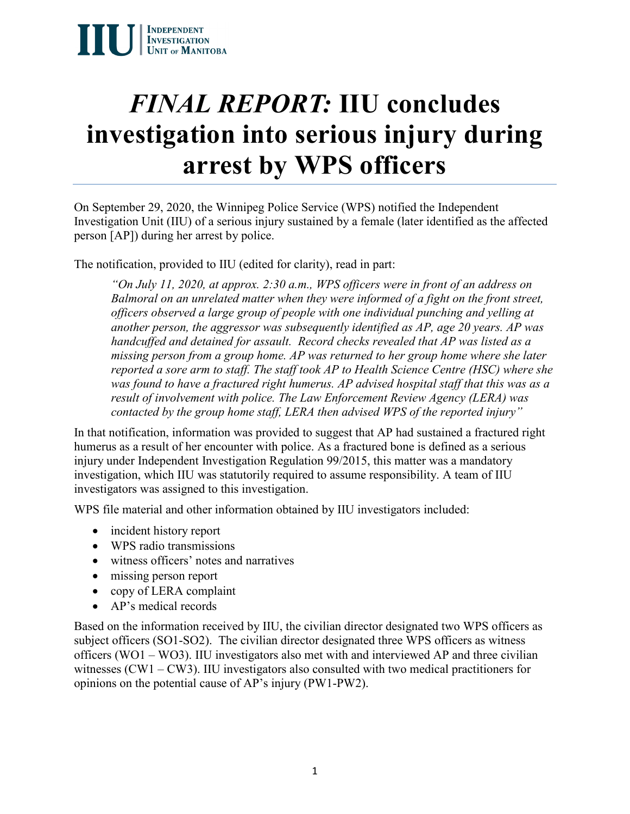# *FINAL REPORT:* **IIU concludes investigation into serious injury during arrest by WPS officers**

On September 29, 2020, the Winnipeg Police Service (WPS) notified the Independent Investigation Unit (IIU) of a serious injury sustained by a female (later identified as the affected person [AP]) during her arrest by police.

The notification, provided to IIU (edited for clarity), read in part:

*"On July 11, 2020, at approx. 2:30 a.m., WPS officers were in front of an address on Balmoral on an unrelated matter when they were informed of a fight on the front street, officers observed a large group of people with one individual punching and yelling at another person, the aggressor was subsequently identified as AP, age 20 years. AP was handcuffed and detained for assault. Record checks revealed that AP was listed as a missing person from a group home. AP was returned to her group home where she later reported a sore arm to staff. The staff took AP to Health Science Centre (HSC) where she was found to have a fractured right humerus. AP advised hospital staff that this was as a result of involvement with police. The Law Enforcement Review Agency (LERA) was contacted by the group home staff, LERA then advised WPS of the reported injury"*

In that notification, information was provided to suggest that AP had sustained a fractured right humerus as a result of her encounter with police. As a fractured bone is defined as a serious injury under Independent Investigation Regulation 99/2015, this matter was a mandatory investigation, which IIU was statutorily required to assume responsibility. A team of IIU investigators was assigned to this investigation.

WPS file material and other information obtained by IIU investigators included:

- incident history report
- WPS radio transmissions
- witness officers' notes and narratives
- missing person report
- copy of LERA complaint
- AP's medical records

Based on the information received by IIU, the civilian director designated two WPS officers as subject officers (SO1-SO2). The civilian director designated three WPS officers as witness officers (WO1 – WO3). IIU investigators also met with and interviewed AP and three civilian witnesses (CW1 – CW3). IIU investigators also consulted with two medical practitioners for opinions on the potential cause of AP's injury (PW1-PW2).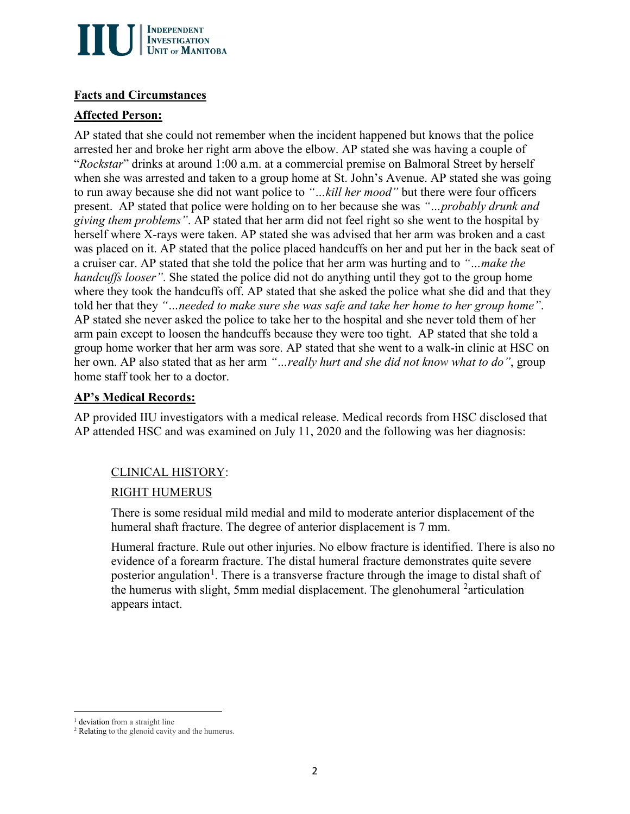

#### **Facts and Circumstances**

## **Affected Person:**

AP stated that she could not remember when the incident happened but knows that the police arrested her and broke her right arm above the elbow. AP stated she was having a couple of "*Rockstar*" drinks at around 1:00 a.m. at a commercial premise on Balmoral Street by herself when she was arrested and taken to a group home at St. John's Avenue. AP stated she was going to run away because she did not want police to *"…kill her mood"* but there were four officers present. AP stated that police were holding on to her because she was *"…probably drunk and giving them problems"*. AP stated that her arm did not feel right so she went to the hospital by herself where X-rays were taken. AP stated she was advised that her arm was broken and a cast was placed on it. AP stated that the police placed handcuffs on her and put her in the back seat of a cruiser car. AP stated that she told the police that her arm was hurting and to *"…make the handcuffs looser*". She stated the police did not do anything until they got to the group home where they took the handcuffs off. AP stated that she asked the police what she did and that they told her that they *"…needed to make sure she was safe and take her home to her group home"*. AP stated she never asked the police to take her to the hospital and she never told them of her arm pain except to loosen the handcuffs because they were too tight. AP stated that she told a group home worker that her arm was sore. AP stated that she went to a walk-in clinic at HSC on her own. AP also stated that as her arm *"…really hurt and she did not know what to do"*, group home staff took her to a doctor.

### **AP's Medical Records:**

AP provided IIU investigators with a medical release. Medical records from HSC disclosed that AP attended HSC and was examined on July 11, 2020 and the following was her diagnosis:

# CLINICAL HISTORY:

# RIGHT HUMERUS

There is some residual mild medial and mild to moderate anterior displacement of the humeral shaft fracture. The degree of anterior displacement is 7 mm.

Humeral fracture. Rule out other injuries. No elbow fracture is identified. There is also no evidence of a forearm fracture. The distal humeral fracture demonstrates quite severe posterior angulation<sup>[1](#page-1-0)</sup>. There is a transverse fracture through the image to distal shaft of the humerus with slight, 5mm medial displacement. The glenohumeral  $2$  articulation appears intact.

 $\overline{a}$ <sup>1</sup> deviation from a straight line

<span id="page-1-1"></span><span id="page-1-0"></span><sup>&</sup>lt;sup>2</sup> Relating to the glenoid cavity and the humerus.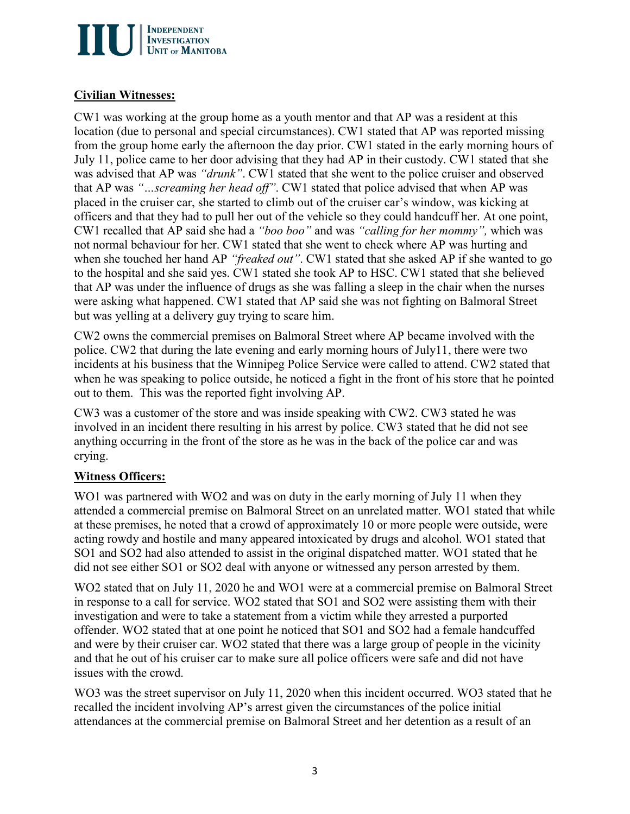

## **Civilian Witnesses:**

CW1 was working at the group home as a youth mentor and that AP was a resident at this location (due to personal and special circumstances). CW1 stated that AP was reported missing from the group home early the afternoon the day prior. CW1 stated in the early morning hours of July 11, police came to her door advising that they had AP in their custody. CW1 stated that she was advised that AP was *"drunk"*. CW1 stated that she went to the police cruiser and observed that AP was *"…screaming her head off"*. CW1 stated that police advised that when AP was placed in the cruiser car, she started to climb out of the cruiser car's window, was kicking at officers and that they had to pull her out of the vehicle so they could handcuff her. At one point, CW1 recalled that AP said she had a *"boo boo"* and was *"calling for her mommy",* which was not normal behaviour for her. CW1 stated that she went to check where AP was hurting and when she touched her hand AP *"freaked out"*. CW1 stated that she asked AP if she wanted to go to the hospital and she said yes. CW1 stated she took AP to HSC. CW1 stated that she believed that AP was under the influence of drugs as she was falling a sleep in the chair when the nurses were asking what happened. CW1 stated that AP said she was not fighting on Balmoral Street but was yelling at a delivery guy trying to scare him.

CW2 owns the commercial premises on Balmoral Street where AP became involved with the police. CW2 that during the late evening and early morning hours of July11, there were two incidents at his business that the Winnipeg Police Service were called to attend. CW2 stated that when he was speaking to police outside, he noticed a fight in the front of his store that he pointed out to them. This was the reported fight involving AP.

CW3 was a customer of the store and was inside speaking with CW2. CW3 stated he was involved in an incident there resulting in his arrest by police. CW3 stated that he did not see anything occurring in the front of the store as he was in the back of the police car and was crying.

# **Witness Officers:**

WO1 was partnered with WO2 and was on duty in the early morning of July 11 when they attended a commercial premise on Balmoral Street on an unrelated matter. WO1 stated that while at these premises, he noted that a crowd of approximately 10 or more people were outside, were acting rowdy and hostile and many appeared intoxicated by drugs and alcohol. WO1 stated that SO1 and SO2 had also attended to assist in the original dispatched matter. WO1 stated that he did not see either SO1 or SO2 deal with anyone or witnessed any person arrested by them.

WO2 stated that on July 11, 2020 he and WO1 were at a commercial premise on Balmoral Street in response to a call for service. WO2 stated that SO1 and SO2 were assisting them with their investigation and were to take a statement from a victim while they arrested a purported offender. WO2 stated that at one point he noticed that SO1 and SO2 had a female handcuffed and were by their cruiser car. WO2 stated that there was a large group of people in the vicinity and that he out of his cruiser car to make sure all police officers were safe and did not have issues with the crowd.

WO3 was the street supervisor on July 11, 2020 when this incident occurred. WO3 stated that he recalled the incident involving AP's arrest given the circumstances of the police initial attendances at the commercial premise on Balmoral Street and her detention as a result of an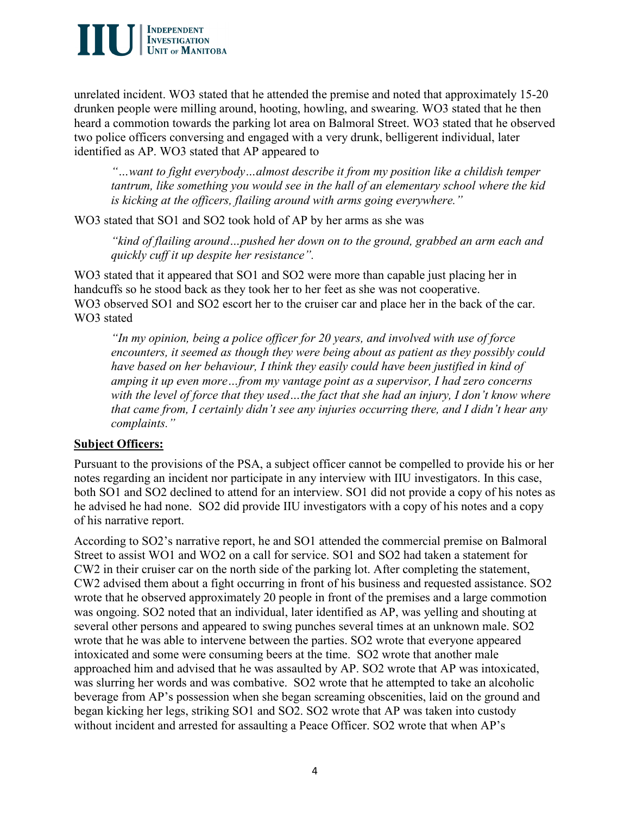

unrelated incident. WO3 stated that he attended the premise and noted that approximately 15-20 drunken people were milling around, hooting, howling, and swearing. WO3 stated that he then heard a commotion towards the parking lot area on Balmoral Street. WO3 stated that he observed two police officers conversing and engaged with a very drunk, belligerent individual, later identified as AP. WO3 stated that AP appeared to

*"…want to fight everybody…almost describe it from my position like a childish temper tantrum, like something you would see in the hall of an elementary school where the kid is kicking at the officers, flailing around with arms going everywhere."*

WO3 stated that SO1 and SO2 took hold of AP by her arms as she was

*"kind of flailing around…pushed her down on to the ground, grabbed an arm each and quickly cuff it up despite her resistance".* 

WO3 stated that it appeared that SO1 and SO2 were more than capable just placing her in handcuffs so he stood back as they took her to her feet as she was not cooperative. WO3 observed SO1 and SO2 escort her to the cruiser car and place her in the back of the car. WO3 stated

*"In my opinion, being a police officer for 20 years, and involved with use of force encounters, it seemed as though they were being about as patient as they possibly could*  have based on her behaviour, I think they easily could have been justified in kind of *amping it up even more…from my vantage point as a supervisor, I had zero concerns with the level of force that they used…the fact that she had an injury, I don't know where that came from, I certainly didn't see any injuries occurring there, and I didn't hear any complaints."* 

## **Subject Officers:**

Pursuant to the provisions of the PSA, a subject officer cannot be compelled to provide his or her notes regarding an incident nor participate in any interview with IIU investigators. In this case, both SO1 and SO2 declined to attend for an interview. SO1 did not provide a copy of his notes as he advised he had none. SO2 did provide IIU investigators with a copy of his notes and a copy of his narrative report.

According to SO2's narrative report, he and SO1 attended the commercial premise on Balmoral Street to assist WO1 and WO2 on a call for service. SO1 and SO2 had taken a statement for CW2 in their cruiser car on the north side of the parking lot. After completing the statement, CW2 advised them about a fight occurring in front of his business and requested assistance. SO2 wrote that he observed approximately 20 people in front of the premises and a large commotion was ongoing. SO2 noted that an individual, later identified as AP, was yelling and shouting at several other persons and appeared to swing punches several times at an unknown male. SO2 wrote that he was able to intervene between the parties. SO2 wrote that everyone appeared intoxicated and some were consuming beers at the time. SO2 wrote that another male approached him and advised that he was assaulted by AP. SO2 wrote that AP was intoxicated, was slurring her words and was combative. SO2 wrote that he attempted to take an alcoholic beverage from AP's possession when she began screaming obscenities, laid on the ground and began kicking her legs, striking SO1 and SO2. SO2 wrote that AP was taken into custody without incident and arrested for assaulting a Peace Officer. SO2 wrote that when AP's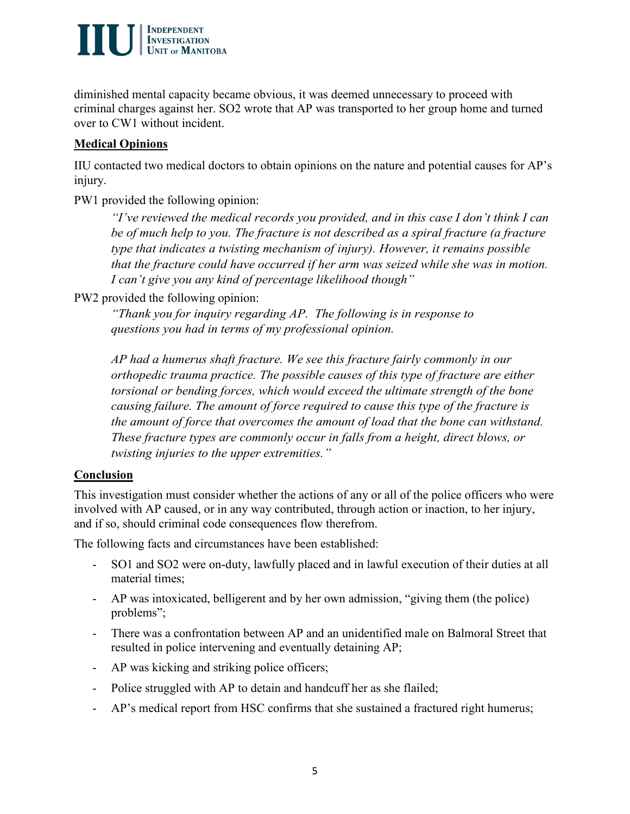

diminished mental capacity became obvious, it was deemed unnecessary to proceed with criminal charges against her. SO2 wrote that AP was transported to her group home and turned over to CW1 without incident.

# **Medical Opinions**

IIU contacted two medical doctors to obtain opinions on the nature and potential causes for AP's injury.

PW1 provided the following opinion:

*"I've reviewed the medical records you provided, and in this case I don't think I can be of much help to you. The fracture is not described as a spiral fracture (a fracture type that indicates a twisting mechanism of injury). However, it remains possible that the fracture could have occurred if her arm was seized while she was in motion. I can't give you any kind of percentage likelihood though"*

PW2 provided the following opinion:

*"Thank you for inquiry regarding AP. The following is in response to questions you had in terms of my professional opinion.*

*AP had a humerus shaft fracture. We see this fracture fairly commonly in our orthopedic trauma practice. The possible causes of this type of fracture are either torsional or bending forces, which would exceed the ultimate strength of the bone causing failure. The amount of force required to cause this type of the fracture is the amount of force that overcomes the amount of load that the bone can withstand. These fracture types are commonly occur in falls from a height, direct blows, or twisting injuries to the upper extremities."* 

# **Conclusion**

This investigation must consider whether the actions of any or all of the police officers who were involved with AP caused, or in any way contributed, through action or inaction, to her injury, and if so, should criminal code consequences flow therefrom.

The following facts and circumstances have been established:

- SO1 and SO2 were on-duty, lawfully placed and in lawful execution of their duties at all material times;
- AP was intoxicated, belligerent and by her own admission, "giving them (the police) problems";
- There was a confrontation between AP and an unidentified male on Balmoral Street that resulted in police intervening and eventually detaining AP;
- AP was kicking and striking police officers;
- Police struggled with AP to detain and handcuff her as she flailed;
- AP's medical report from HSC confirms that she sustained a fractured right humerus;